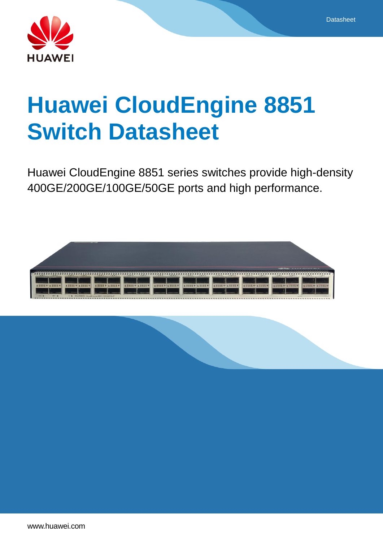



# **Huawei CloudEngine 8851 Switch Datasheet**

Huawei CloudEngine 8851 series switches provide high-density 400GE/200GE/100GE/50GE ports and high performance.

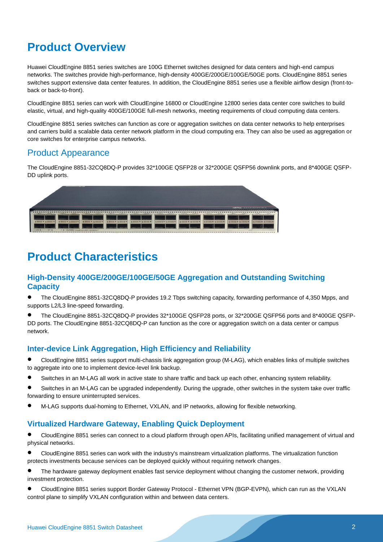# **Product Overview**

Huawei CloudEngine 8851 series switches are 100G Ethernet switches designed for data centers and high-end campus networks. The switches provide high-performance, high-density 400GE/200GE/100GE/50GE ports. CloudEngine 8851 series switches support extensive data center features. In addition, the CloudEngine 8851 series use a flexible airflow design (front-toback or back-to-front).

CloudEngine 8851 series can work with CloudEngine 16800 or CloudEngine 12800 series data center core switches to build elastic, virtual, and high-quality 400GE/100GE full-mesh networks, meeting requirements of cloud computing data centers.

CloudEngine 8851 series switches can function as core or aggregation switches on data center networks to help enterprises and carriers build a scalable data center network platform in the cloud computing era. They can also be used as aggregation or core switches for enterprise campus networks.

### Product Appearance

The CloudEngine 8851-32CQ8DQ-P provides 32\*100GE QSFP28 or 32\*200GE QSFP56 downlink ports, and 8\*400GE QSFP-DD uplink ports.



# **Product Characteristics**

### **High-Density 400GE/200GE/100GE/50GE Aggregation and Outstanding Switching Capacity**

 The CloudEngine 8851-32CQ8DQ-P provides 19.2 Tbps switching capacity, forwarding performance of 4,350 Mpps, and supports L2/L3 line-speed forwarding.

 The CloudEngine 8851-32CQ8DQ-P provides 32\*100GE QSFP28 ports, or 32\*200GE QSFP56 ports and 8\*400GE QSFP-DD ports. The CloudEngine 8851-32CQ8DQ-P can function as the core or aggregation switch on a data center or campus network.

### **Inter-device Link Aggregation, High Efficiency and Reliability**

 CloudEngine 8851 series support multi-chassis link aggregation group (M-LAG), which enables links of multiple switches to aggregate into one to implement device-level link backup.

- Switches in an M-LAG all work in active state to share traffic and back up each other, enhancing system reliability.
- Switches in an M-LAG can be upgraded independently. During the upgrade, other switches in the system take over traffic forwarding to ensure uninterrupted services.
- M-LAG supports dual-homing to Ethernet, VXLAN, and IP networks, allowing for flexible networking.

### **Virtualized Hardware Gateway, Enabling Quick Deployment**

 CloudEngine 8851 series can connect to a cloud platform through open APIs, facilitating unified management of virtual and physical networks.

 CloudEngine 8851 series can work with the industry's mainstream virtualization platforms. The virtualization function protects investments because services can be deployed quickly without requiring network changes.

• The hardware gateway deployment enables fast service deployment without changing the customer network, providing investment protection.

 CloudEngine 8851 series support Border Gateway Protocol - Ethernet VPN (BGP-EVPN), which can run as the VXLAN control plane to simplify VXLAN configuration within and between data centers.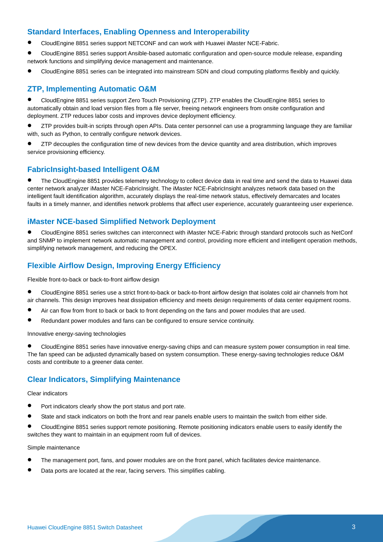### **Standard Interfaces, Enabling Openness and Interoperability**

- CloudEngine 8851 series support NETCONF and can work with Huawei iMaster NCE-Fabric.
- CloudEngine 8851 series support Ansible-based automatic configuration and open-source module release, expanding network functions and simplifying device management and maintenance.
- CloudEngine 8851 series can be integrated into mainstream SDN and cloud computing platforms flexibly and quickly.

### **ZTP, Implementing Automatic O&M**

 CloudEngine 8851 series support Zero Touch Provisioning (ZTP). ZTP enables the CloudEngine 8851 series to automatically obtain and load version files from a file server, freeing network engineers from onsite configuration and deployment. ZTP reduces labor costs and improves device deployment efficiency.

 ZTP provides built-in scripts through open APIs. Data center personnel can use a programming language they are familiar with, such as Python, to centrally configure network devices.

 ZTP decouples the configuration time of new devices from the device quantity and area distribution, which improves service provisioning efficiency.

### **FabricInsight-based Intelligent O&M**

 The CloudEngine 8851 provides telemetry technology to collect device data in real time and send the data to Huawei data center network analyzer iMaster NCE-FabricInsight. The iMaster NCE-FabricInsight analyzes network data based on the intelligent fault identification algorithm, accurately displays the real-time network status, effectively demarcates and locates faults in a timely manner, and identifies network problems that affect user experience, accurately guaranteeing user experience.

### **iMaster NCE-based Simplified Network Deployment**

 CloudEngine 8851 series switches can interconnect with iMaster NCE-Fabric through standard protocols such as NetConf and SNMP to implement network automatic management and control, providing more efficient and intelligent operation methods, simplifying network management, and reducing the OPEX.

### **Flexible Airflow Design, Improving Energy Efficiency**

Flexible front-to-back or back-to-front airflow design

 CloudEngine 8851 series use a strict front-to-back or back-to-front airflow design that isolates cold air channels from hot air channels. This design improves heat dissipation efficiency and meets design requirements of data center equipment rooms.

- Air can flow from front to back or back to front depending on the fans and power modules that are used.
- Redundant power modules and fans can be configured to ensure service continuity.

#### Innovative energy-saving technologies

 CloudEngine 8851 series have innovative energy-saving chips and can measure system power consumption in real time. The fan speed can be adjusted dynamically based on system consumption. These energy-saving technologies reduce O&M costs and contribute to a greener data center.

### **Clear Indicators, Simplifying Maintenance**

### Clear indicators

- **•** Port indicators clearly show the port status and port rate.
- State and stack indicators on both the front and rear panels enable users to maintain the switch from either side.

 CloudEngine 8851 series support remote positioning. Remote positioning indicators enable users to easily identify the switches they want to maintain in an equipment room full of devices.

#### Simple maintenance

- The management port, fans, and power modules are on the front panel, which facilitates device maintenance.
- Data ports are located at the rear, facing servers. This simplifies cabling.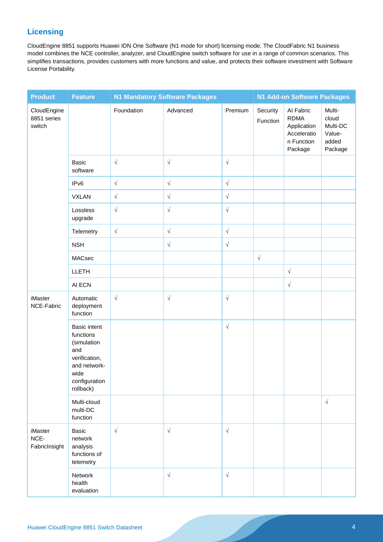### **Licensing**

CloudEngine 8851 supports Huawei IDN One Software (N1 mode for short) licensing mode. The CloudFabric N1 business model combines the NCE controller, analyzer, and CloudEngine switch software for use in a range of common scenarios. This simplifies transactions, provides customers with more functions and value, and protects their software investment with Software License Portability.

| <b>Product</b>                          | <b>Feature</b>                                                                                                                | <b>N1 Mandatory Software Packages</b> |            |                      | N1 Add-on Software Packages |                                                                                 |                                                           |
|-----------------------------------------|-------------------------------------------------------------------------------------------------------------------------------|---------------------------------------|------------|----------------------|-----------------------------|---------------------------------------------------------------------------------|-----------------------------------------------------------|
| CloudEngine<br>8851 series<br>switch    |                                                                                                                               | Foundation                            | Advanced   | Premium              | Security<br>Function        | Al Fabric<br><b>RDMA</b><br>Application<br>Acceleratio<br>n Function<br>Package | Multi-<br>cloud<br>Multi-DC<br>Value-<br>added<br>Package |
|                                         | Basic<br>software                                                                                                             | $\sqrt{}$                             | $\sqrt{}$  | $\sqrt{ }$           |                             |                                                                                 |                                                           |
|                                         | IP <sub>v6</sub>                                                                                                              | $\sqrt{}$                             | $\sqrt{}$  | $\sqrt{\phantom{a}}$ |                             |                                                                                 |                                                           |
|                                         | <b>VXLAN</b>                                                                                                                  | $\sqrt{\phantom{a}}$                  | $\sqrt{}$  | $\sqrt{ }$           |                             |                                                                                 |                                                           |
|                                         | Lossless<br>upgrade                                                                                                           | $\sqrt{ }$                            | $\sqrt{}$  | $\sqrt{\phantom{a}}$ |                             |                                                                                 |                                                           |
|                                         | Telemetry                                                                                                                     | $\sqrt{\phantom{a}}$                  | $\sqrt{}$  | $\sqrt{\phantom{a}}$ |                             |                                                                                 |                                                           |
|                                         | <b>NSH</b>                                                                                                                    |                                       | $\sqrt{}$  | $\sqrt{}$            |                             |                                                                                 |                                                           |
|                                         | MACsec                                                                                                                        |                                       |            |                      | $\sqrt{}$                   |                                                                                 |                                                           |
|                                         | LLETH                                                                                                                         |                                       |            |                      |                             | $\sqrt{ }$                                                                      |                                                           |
|                                         | AI ECN                                                                                                                        |                                       |            |                      |                             | $\sqrt{ }$                                                                      |                                                           |
| iMaster<br>NCE-Fabric                   | Automatic<br>deployment<br>function                                                                                           | $\sqrt{}$                             | $\sqrt{ }$ | $\sqrt{\phantom{a}}$ |                             |                                                                                 |                                                           |
|                                         | <b>Basic intent</b><br>functions<br>(simulation<br>and<br>verification,<br>and network-<br>wide<br>configuration<br>rollback) |                                       |            | $\sqrt{ }$           |                             |                                                                                 |                                                           |
|                                         | Multi-cloud<br>multi-DC<br>function                                                                                           |                                       |            |                      |                             |                                                                                 | $\sqrt{ }$                                                |
| <b>iMaster</b><br>NCE-<br>FabricInsight | Basic<br>network<br>analysis<br>functions of<br>telemetry                                                                     | $\sqrt{}$                             | $\sqrt{ }$ | $\sqrt{ }$           |                             |                                                                                 |                                                           |
|                                         | Network<br>health<br>evaluation                                                                                               |                                       | $\sqrt{ }$ | $\sqrt{}$            |                             |                                                                                 |                                                           |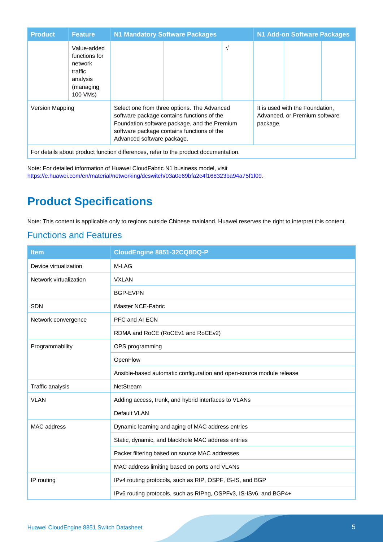| <b>Product</b>                                                                      | <b>Feature</b>                                                                          | <b>N1 Mandatory Software Packages</b>                                                                                                                                                                                 |  |                                                                              | N1 Add-on Software Packages |  |  |
|-------------------------------------------------------------------------------------|-----------------------------------------------------------------------------------------|-----------------------------------------------------------------------------------------------------------------------------------------------------------------------------------------------------------------------|--|------------------------------------------------------------------------------|-----------------------------|--|--|
|                                                                                     | Value-added<br>functions for<br>network<br>traffic<br>analysis<br>(managing<br>100 VMs) |                                                                                                                                                                                                                       |  | $\sqrt{}$                                                                    |                             |  |  |
| <b>Version Mapping</b>                                                              |                                                                                         | Select one from three options. The Advanced<br>software package contains functions of the<br>Foundation software package, and the Premium<br>software package contains functions of the<br>Advanced software package. |  | It is used with the Foundation,<br>Advanced, or Premium software<br>package. |                             |  |  |
| For details about product function differences, refer to the product documentation. |                                                                                         |                                                                                                                                                                                                                       |  |                                                                              |                             |  |  |

Note: For detailed information of Huawei CloudFabric N1 business model, visit [https://e.huawei.com/en/material/networking/dcswitch/03a0e69bfa2c4f168323ba94a75f1f09.](https://e.huawei.com/en/material/networking/dcswitch/03a0e69bfa2c4f168323ba94a75f1f09)

# **Product Specifications**

Note: This content is applicable only to regions outside Chinese mainland. Huawei reserves the right to interpret this content.

### Functions and Features

| <b>Item</b>            | CloudEngine 8851-32CQ8DQ-P                                           |  |  |
|------------------------|----------------------------------------------------------------------|--|--|
| Device virtualization  | M-LAG                                                                |  |  |
| Network virtualization | <b>VXLAN</b>                                                         |  |  |
|                        | <b>BGP-EVPN</b>                                                      |  |  |
| <b>SDN</b>             | iMaster NCE-Fabric                                                   |  |  |
| Network convergence    | PFC and AI ECN                                                       |  |  |
|                        | RDMA and RoCE (RoCEv1 and RoCEv2)                                    |  |  |
| Programmability        | OPS programming                                                      |  |  |
|                        | OpenFlow                                                             |  |  |
|                        | Ansible-based automatic configuration and open-source module release |  |  |
| Traffic analysis       | NetStream                                                            |  |  |
| <b>VLAN</b>            | Adding access, trunk, and hybrid interfaces to VLANs                 |  |  |
|                        | Default VLAN                                                         |  |  |
| <b>MAC</b> address     | Dynamic learning and aging of MAC address entries                    |  |  |
|                        | Static, dynamic, and blackhole MAC address entries                   |  |  |
|                        | Packet filtering based on source MAC addresses                       |  |  |
|                        | MAC address limiting based on ports and VLANs                        |  |  |
| IP routing             | IPv4 routing protocols, such as RIP, OSPF, IS-IS, and BGP            |  |  |
|                        | IPv6 routing protocols, such as RIPng, OSPFv3, IS-ISv6, and BGP4+    |  |  |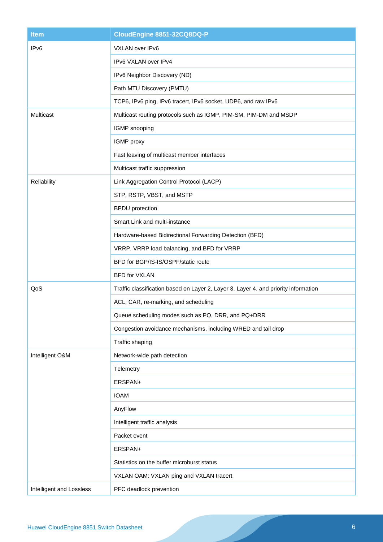| <b>Item</b>              | CloudEngine 8851-32CQ8DQ-P                                                          |  |  |
|--------------------------|-------------------------------------------------------------------------------------|--|--|
| IP <sub>v6</sub>         | VXLAN over IPv6                                                                     |  |  |
|                          | IPv6 VXLAN over IPv4                                                                |  |  |
|                          | IPv6 Neighbor Discovery (ND)                                                        |  |  |
|                          | Path MTU Discovery (PMTU)                                                           |  |  |
|                          | TCP6, IPv6 ping, IPv6 tracert, IPv6 socket, UDP6, and raw IPv6                      |  |  |
| Multicast                | Multicast routing protocols such as IGMP, PIM-SM, PIM-DM and MSDP                   |  |  |
|                          | IGMP snooping                                                                       |  |  |
|                          | IGMP proxy                                                                          |  |  |
|                          | Fast leaving of multicast member interfaces                                         |  |  |
|                          | Multicast traffic suppression                                                       |  |  |
| Reliability              | Link Aggregation Control Protocol (LACP)                                            |  |  |
|                          | STP, RSTP, VBST, and MSTP                                                           |  |  |
|                          | <b>BPDU</b> protection                                                              |  |  |
|                          | Smart Link and multi-instance                                                       |  |  |
|                          | Hardware-based Bidirectional Forwarding Detection (BFD)                             |  |  |
|                          | VRRP, VRRP load balancing, and BFD for VRRP                                         |  |  |
|                          | BFD for BGP/IS-IS/OSPF/static route                                                 |  |  |
|                          | <b>BFD for VXLAN</b>                                                                |  |  |
| QoS                      | Traffic classification based on Layer 2, Layer 3, Layer 4, and priority information |  |  |
|                          | ACL, CAR, re-marking, and scheduling                                                |  |  |
|                          | Queue scheduling modes such as PQ, DRR, and PQ+DRR                                  |  |  |
|                          | Congestion avoidance mechanisms, including WRED and tail drop                       |  |  |
|                          | Traffic shaping                                                                     |  |  |
| Intelligent O&M          | Network-wide path detection                                                         |  |  |
|                          | Telemetry                                                                           |  |  |
|                          | ERSPAN+                                                                             |  |  |
|                          | <b>IOAM</b>                                                                         |  |  |
|                          | AnyFlow                                                                             |  |  |
|                          | Intelligent traffic analysis                                                        |  |  |
|                          | Packet event                                                                        |  |  |
|                          | ERSPAN+                                                                             |  |  |
|                          | Statistics on the buffer microburst status                                          |  |  |
|                          | VXLAN OAM: VXLAN ping and VXLAN tracert                                             |  |  |
| Intelligent and Lossless | PFC deadlock prevention                                                             |  |  |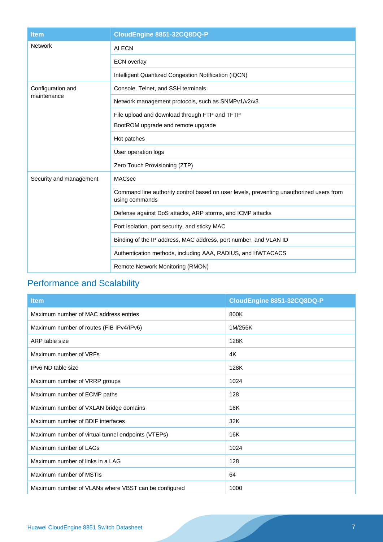| <b>Item</b>             | CloudEngine 8851-32CQ8DQ-P                                                                                |  |  |
|-------------------------|-----------------------------------------------------------------------------------------------------------|--|--|
| <b>Network</b>          | AI ECN                                                                                                    |  |  |
|                         | <b>ECN</b> overlay                                                                                        |  |  |
|                         | Intelligent Quantized Congestion Notification (iQCN)                                                      |  |  |
| Configuration and       | Console, Telnet, and SSH terminals                                                                        |  |  |
| maintenance             | Network management protocols, such as SNMPv1/v2/v3                                                        |  |  |
|                         | File upload and download through FTP and TFTP                                                             |  |  |
|                         | BootROM upgrade and remote upgrade                                                                        |  |  |
|                         | Hot patches                                                                                               |  |  |
|                         | User operation logs                                                                                       |  |  |
|                         | Zero Touch Provisioning (ZTP)                                                                             |  |  |
| Security and management | <b>MACsec</b>                                                                                             |  |  |
|                         | Command line authority control based on user levels, preventing unauthorized users from<br>using commands |  |  |
|                         | Defense against DoS attacks, ARP storms, and ICMP attacks                                                 |  |  |
|                         | Port isolation, port security, and sticky MAC                                                             |  |  |
|                         | Binding of the IP address, MAC address, port number, and VLAN ID                                          |  |  |
|                         | Authentication methods, including AAA, RADIUS, and HWTACACS                                               |  |  |
|                         | Remote Network Monitoring (RMON)                                                                          |  |  |

## Performance and Scalability

| <b>Item</b>                                          | CloudEngine 8851-32CQ8DQ-P |
|------------------------------------------------------|----------------------------|
| Maximum number of MAC address entries                | 800K                       |
| Maximum number of routes (FIB IPv4/IPv6)             | 1M/256K                    |
| ARP table size                                       | 128K                       |
| Maximum number of VRFs                               | 4K                         |
| IPv6 ND table size                                   | 128K                       |
| Maximum number of VRRP groups                        | 1024                       |
| Maximum number of ECMP paths                         | 128                        |
| Maximum number of VXLAN bridge domains               | 16K                        |
| Maximum number of BDIF interfaces                    | 32K                        |
| Maximum number of virtual tunnel endpoints (VTEPs)   | 16K                        |
| Maximum number of LAGs                               | 1024                       |
| Maximum number of links in a LAG                     | 128                        |
| Maximum number of MSTIs                              | 64                         |
| Maximum number of VLANs where VBST can be configured | 1000                       |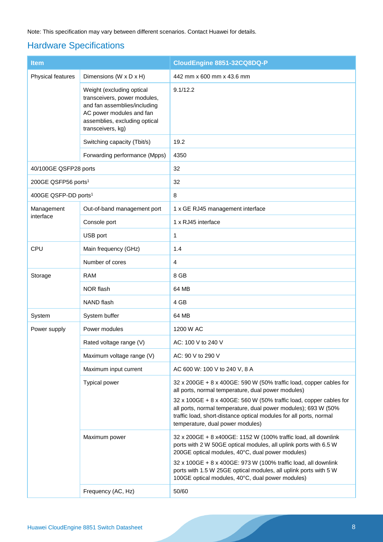Note: This specification may vary between different scenarios. Contact Huawei for details.

### Hardware Specifications

| <b>Item</b>                      |                                                                                                                                                                             | CloudEngine 8851-32CQ8DQ-P                                                                                                                                                                                                                     |  |  |
|----------------------------------|-----------------------------------------------------------------------------------------------------------------------------------------------------------------------------|------------------------------------------------------------------------------------------------------------------------------------------------------------------------------------------------------------------------------------------------|--|--|
| Physical features                | Dimensions (W x D x H)                                                                                                                                                      | 442 mm x 600 mm x 43.6 mm                                                                                                                                                                                                                      |  |  |
|                                  | Weight (excluding optical<br>transceivers, power modules,<br>and fan assemblies/including<br>AC power modules and fan<br>assemblies, excluding optical<br>transceivers, kg) | 9.1/12.2                                                                                                                                                                                                                                       |  |  |
|                                  | Switching capacity (Tbit/s)                                                                                                                                                 | 19.2                                                                                                                                                                                                                                           |  |  |
|                                  | Forwarding performance (Mpps)                                                                                                                                               | 4350                                                                                                                                                                                                                                           |  |  |
| 40/100GE QSFP28 ports            |                                                                                                                                                                             | 32                                                                                                                                                                                                                                             |  |  |
| 200GE QSFP56 ports <sup>1</sup>  |                                                                                                                                                                             | 32                                                                                                                                                                                                                                             |  |  |
| 400GE QSFP-DD ports <sup>1</sup> |                                                                                                                                                                             | 8                                                                                                                                                                                                                                              |  |  |
| Management                       | Out-of-band management port                                                                                                                                                 | 1 x GE RJ45 management interface                                                                                                                                                                                                               |  |  |
| interface                        | Console port                                                                                                                                                                | 1 x RJ45 interface                                                                                                                                                                                                                             |  |  |
|                                  | USB port                                                                                                                                                                    | 1                                                                                                                                                                                                                                              |  |  |
| CPU                              | Main frequency (GHz)                                                                                                                                                        | 1.4                                                                                                                                                                                                                                            |  |  |
|                                  | Number of cores                                                                                                                                                             | 4                                                                                                                                                                                                                                              |  |  |
| Storage                          | <b>RAM</b>                                                                                                                                                                  | 8 GB                                                                                                                                                                                                                                           |  |  |
|                                  | NOR flash                                                                                                                                                                   | 64 MB                                                                                                                                                                                                                                          |  |  |
|                                  | NAND flash                                                                                                                                                                  | 4 GB                                                                                                                                                                                                                                           |  |  |
| System                           | System buffer                                                                                                                                                               | 64 MB                                                                                                                                                                                                                                          |  |  |
| Power supply                     | Power modules                                                                                                                                                               | 1200 W AC                                                                                                                                                                                                                                      |  |  |
|                                  | Rated voltage range (V)                                                                                                                                                     | AC: 100 V to 240 V                                                                                                                                                                                                                             |  |  |
|                                  | Maximum voltage range (V)                                                                                                                                                   | AC: 90 V to 290 V                                                                                                                                                                                                                              |  |  |
|                                  | Maximum input current                                                                                                                                                       | AC 600 W: 100 V to 240 V, 8 A                                                                                                                                                                                                                  |  |  |
|                                  | Typical power                                                                                                                                                               | 32 x 200GE + 8 x 400GE: 590 W (50% traffic load, copper cables for<br>all ports, normal temperature, dual power modules)                                                                                                                       |  |  |
|                                  |                                                                                                                                                                             | 32 x 100GE + 8 x 400GE: 560 W (50% traffic load, copper cables for<br>all ports, normal temperature, dual power modules); 693 W (50%<br>traffic load, short-distance optical modules for all ports, normal<br>temperature, dual power modules) |  |  |
|                                  | Maximum power                                                                                                                                                               | 32 x 200GE + 8 x400GE: 1152 W (100% traffic load, all downlink<br>ports with 2 W 50GE optical modules, all uplink ports with 6.5 W<br>200GE optical modules, 40°C, dual power modules)                                                         |  |  |
|                                  |                                                                                                                                                                             | 32 x 100GE + 8 x 400GE: 973 W (100% traffic load, all downlink<br>ports with 1.5 W 25GE optical modules, all uplink ports with 5 W<br>100GE optical modules, 40°C, dual power modules)                                                         |  |  |
|                                  | Frequency (AC, Hz)                                                                                                                                                          | 50/60                                                                                                                                                                                                                                          |  |  |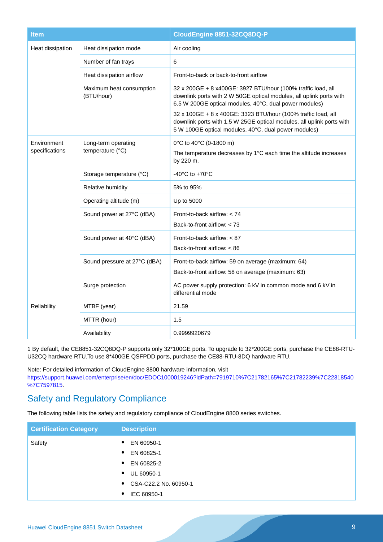| <b>Item</b>                   |                                         | CloudEngine 8851-32CQ8DQ-P                                                                                                                                                                                                                                                                                                                                                                      |
|-------------------------------|-----------------------------------------|-------------------------------------------------------------------------------------------------------------------------------------------------------------------------------------------------------------------------------------------------------------------------------------------------------------------------------------------------------------------------------------------------|
| Heat dissipation              | Heat dissipation mode                   | Air cooling                                                                                                                                                                                                                                                                                                                                                                                     |
|                               | Number of fan trays                     | 6                                                                                                                                                                                                                                                                                                                                                                                               |
|                               | Heat dissipation airflow                | Front-to-back or back-to-front airflow                                                                                                                                                                                                                                                                                                                                                          |
|                               | Maximum heat consumption<br>(BTU/hour)  | 32 x 200GE + 8 x400GE: 3927 BTU/hour (100% traffic load, all<br>downlink ports with 2 W 50GE optical modules, all uplink ports with<br>6.5 W 200GE optical modules, 40°C, dual power modules)<br>32 x 100GE + 8 x 400GE: 3323 BTU/hour (100% traffic load, all<br>downlink ports with 1.5 W 25GE optical modules, all uplink ports with<br>5 W 100GE optical modules, 40°C, dual power modules) |
| Environment<br>specifications | Long-term operating<br>temperature (°C) | 0°C to 40°C (0-1800 m)<br>The temperature decreases by 1°C each time the altitude increases<br>by 220 m.                                                                                                                                                                                                                                                                                        |
|                               | Storage temperature (°C)                | $-40^{\circ}$ C to $+70^{\circ}$ C                                                                                                                                                                                                                                                                                                                                                              |
|                               | Relative humidity                       | 5% to 95%                                                                                                                                                                                                                                                                                                                                                                                       |
|                               | Operating altitude (m)                  | Up to 5000                                                                                                                                                                                                                                                                                                                                                                                      |
|                               | Sound power at 27°C (dBA)               | Front-to-back airflow: < 74<br>Back-to-front airflow: $<$ 73                                                                                                                                                                                                                                                                                                                                    |
|                               | Sound power at 40°C (dBA)               | Front-to-back airflow: $< 87$<br>Back-to-front airflow: < 86                                                                                                                                                                                                                                                                                                                                    |
|                               | Sound pressure at 27°C (dBA)            | Front-to-back airflow: 59 on average (maximum: 64)<br>Back-to-front airflow: 58 on average (maximum: 63)                                                                                                                                                                                                                                                                                        |
|                               | Surge protection                        | AC power supply protection: 6 kV in common mode and 6 kV in<br>differential mode                                                                                                                                                                                                                                                                                                                |
| Reliability                   | MTBF (year)                             | 21.59                                                                                                                                                                                                                                                                                                                                                                                           |
|                               | MTTR (hour)                             | 1.5                                                                                                                                                                                                                                                                                                                                                                                             |
|                               | Availability                            | 0.9999920679                                                                                                                                                                                                                                                                                                                                                                                    |

1 By default, the CE8851-32CQ8DQ-P supports only 32\*100GE ports. To upgrade to 32\*200GE ports, purchase the CE88-RTU-U32CQ hardware RTU.To use 8\*400GE QSFPDD ports, purchase the CE88-RTU-8DQ hardware RTU.

Note: For detailed information of CloudEngine 8800 hardware information, visit [https://support.huawei.com/enterprise/en/doc/EDOC1000019246?idPath=7919710%7C21782165%7C21782239%7C22318540](https://support.huawei.com/enterprise/en/doc/EDOC1000019246?idPath=7919710%7C21782165%7C21782239%7C22318540%7C7597815) [%7C7597815.](https://support.huawei.com/enterprise/en/doc/EDOC1000019246?idPath=7919710%7C21782165%7C21782239%7C22318540%7C7597815)

### Safety and Regulatory Compliance

The following table lists the safety and regulatory compliance of CloudEngine 8800 series switches.

| <b>Certification Category</b> | <b>Description</b>                 |
|-------------------------------|------------------------------------|
| Safety                        | EN 60950-1<br>$\bullet$            |
|                               | EN 60825-1<br>$\bullet$            |
|                               | EN 60825-2<br>$\bullet$            |
|                               | UL 60950-1<br>$\bullet$            |
|                               | CSA-C22.2 No. 60950-1<br>$\bullet$ |
|                               | IEC 60950-1<br>$\bullet$           |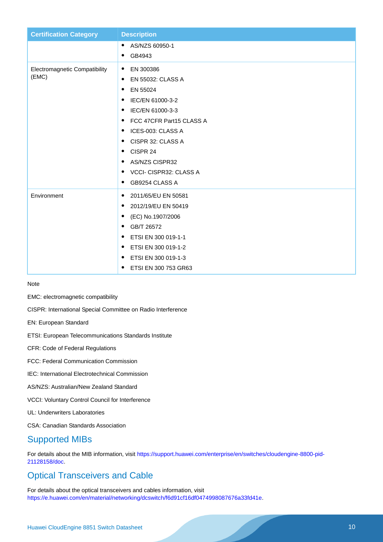| <b>Certification Category</b>        | <b>Description</b>                    |
|--------------------------------------|---------------------------------------|
|                                      | AS/NZS 60950-1<br>$\bullet$           |
|                                      | GB4943<br>٠                           |
| <b>Electromagnetic Compatibility</b> | EN 300386<br>$\bullet$                |
| (EMC)                                | <b>EN 55032: CLASS A</b><br>$\bullet$ |
|                                      | EN 55024<br>٠                         |
|                                      | IEC/EN 61000-3-2<br>٠                 |
|                                      | IEC/EN 61000-3-3<br>٠                 |
|                                      | FCC 47CFR Part15 CLASS A<br>٠         |
|                                      | ICES-003: CLASS A<br>٠                |
|                                      | CISPR 32: CLASS A<br>٠                |
|                                      | CISPR 24<br>٠                         |
|                                      | <b>AS/NZS CISPR32</b><br>٠            |
|                                      | VCCI- CISPR32: CLASS A<br>٠           |
|                                      | GB9254 CLASS A<br>$\bullet$           |
| Environment                          | 2011/65/EU EN 50581<br>٠              |
|                                      | 2012/19/EU EN 50419<br>$\bullet$      |
|                                      | (EC) No.1907/2006<br>٠                |
|                                      | GB/T 26572<br>٠                       |
|                                      | ETSI EN 300 019-1-1<br>٠              |
|                                      | ETSI EN 300 019-1-2<br>٠              |
|                                      | ETSI EN 300 019-1-3<br>٠              |
|                                      | ETSI EN 300 753 GR63<br>٠             |

Note

EMC: electromagnetic compatibility

CISPR: International Special Committee on Radio Interference

- EN: European Standard
- ETSI: European Telecommunications Standards Institute
- CFR: Code of Federal Regulations
- FCC: Federal Communication Commission
- IEC: International Electrotechnical Commission
- AS/NZS: Australian/New Zealand Standard
- VCCI: Voluntary Control Council for Interference
- UL: Underwriters Laboratories

CSA: Canadian Standards Association

### Supported MIBs

For details about the MIB information, visit [https://support.huawei.com/enterprise/en/switches/cloudengine-8800-pid-](https://support.huawei.com/enterprise/en/switches/cloudengine-8800-pid-21128158/doc)[21128158/doc.](https://support.huawei.com/enterprise/en/switches/cloudengine-8800-pid-21128158/doc)

### Optical Transceivers and Cable

For details about the optical transceivers and cables information, visit [https://e.huawei.com/en/material/networking/dcswitch/f6d91cf16df0474998087676a33fd41e.](https://e.huawei.com/en/material/networking/dcswitch/f6d91cf16df0474998087676a33fd41e)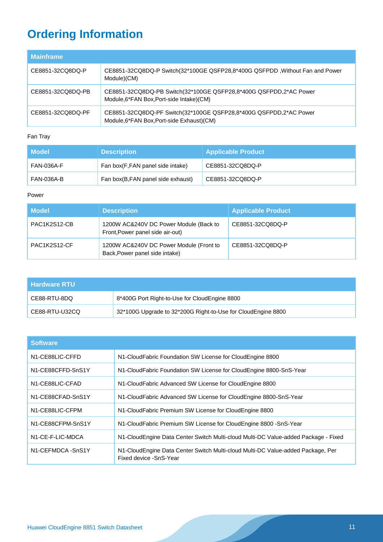# **Ordering Information**

| <b>Mainframe</b>  |                                                                                                                 |
|-------------------|-----------------------------------------------------------------------------------------------------------------|
| CE8851-32CQ8DQ-P  | CE8851-32CQ8DQ-P Switch(32*100GE QSFP28,8*400G QSFPDD, Without Fan and Power<br>Module)(CM)                     |
| CE8851-32CQ8DQ-PB | CE8851-32CQ8DQ-PB Switch(32*100GE QSFP28,8*400G QSFPDD,2*AC Power<br>Module, 6*FAN Box, Port-side Intake) (CM)  |
| CE8851-32CQ8DQ-PF | CE8851-32CQ8DQ-PF Switch(32*100GE QSFP28,8*400G QSFPDD,2*AC Power<br>Module, 6*FAN Box, Port-side Exhaust) (CM) |

### Fan Tray

| Model      | <b>Description</b>                | <b>Applicable Product</b> |
|------------|-----------------------------------|---------------------------|
| FAN-036A-F | Fan box(F,FAN panel side intake)  | CE8851-32CQ8DQ-P          |
| FAN-036A-B | Fan box(B,FAN panel side exhaust) | CE8851-32CQ8DQ-P          |

### Power

| <b>Model</b> | <b>Description</b>                                                         | <b>Applicable Product</b> |
|--------------|----------------------------------------------------------------------------|---------------------------|
| PAC1K2S12-CB | 1200W AC&240V DC Power Module (Back to<br>Front, Power panel side air-out) | CE8851-32CQ8DQ-P          |
| PAC1K2S12-CF | 1200W AC&240V DC Power Module (Front to<br>Back, Power panel side intake)  | CE8851-32CQ8DQ-P          |

| l Hardware RTU |                                                              |
|----------------|--------------------------------------------------------------|
| CE88-RTU-8DQ   | 8*400G Port Right-to-Use for CloudEngine 8800                |
| CE88-RTU-U32CQ | 32*100G Upgrade to 32*200G Right-to-Use for CloudEngine 8800 |

| <b>Software</b>               |                                                                                                           |  |
|-------------------------------|-----------------------------------------------------------------------------------------------------------|--|
| N <sub>1</sub> -CE88LIC-CFFD  | N1-CloudFabric Foundation SW License for CloudEngine 8800                                                 |  |
| N1-CE88CFFD-SnS1Y             | N1-CloudFabric Foundation SW License for CloudEngine 8800-SnS-Year                                        |  |
| N <sub>1</sub> -CE88LIC-CFAD  | N1-CloudFabric Advanced SW License for CloudEngine 8800                                                   |  |
| N1-CE88CFAD-SnS1Y             | N1-CloudFabric Advanced SW License for CloudEngine 8800-SnS-Year                                          |  |
| N <sub>1</sub> -CE88LIC-CFPM  | N1-CloudFabric Premium SW License for CloudEngine 8800                                                    |  |
| N1-CE88CFPM-SnS1Y             | N1-CloudFabric Premium SW License for CloudEngine 8800 - SnS-Year                                         |  |
| N <sub>1</sub> -CE-F-LIC-MDCA | N1-CloudEngine Data Center Switch Multi-cloud Multi-DC Value-added Package - Fixed                        |  |
| N1-CEFMDCA-SnS1Y              | N1-CloudEngine Data Center Switch Multi-cloud Multi-DC Value-added Package, Per<br>Fixed device -SnS-Year |  |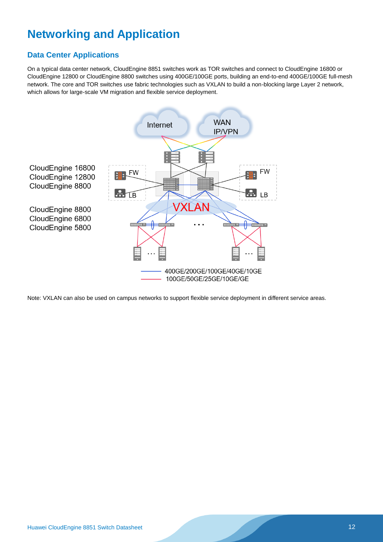# **Networking and Application**

### **Data Center Applications**

On a typical data center network, CloudEngine 8851 switches work as TOR switches and connect to CloudEngine 16800 or CloudEngine 12800 or CloudEngine 8800 switches using 400GE/100GE ports, building an end-to-end 400GE/100GE full-mesh network. The core and TOR switches use fabric technologies such as VXLAN to build a non-blocking large Layer 2 network, which allows for large-scale VM migration and flexible service deployment.



Note: VXLAN can also be used on campus networks to support flexible service deployment in different service areas.